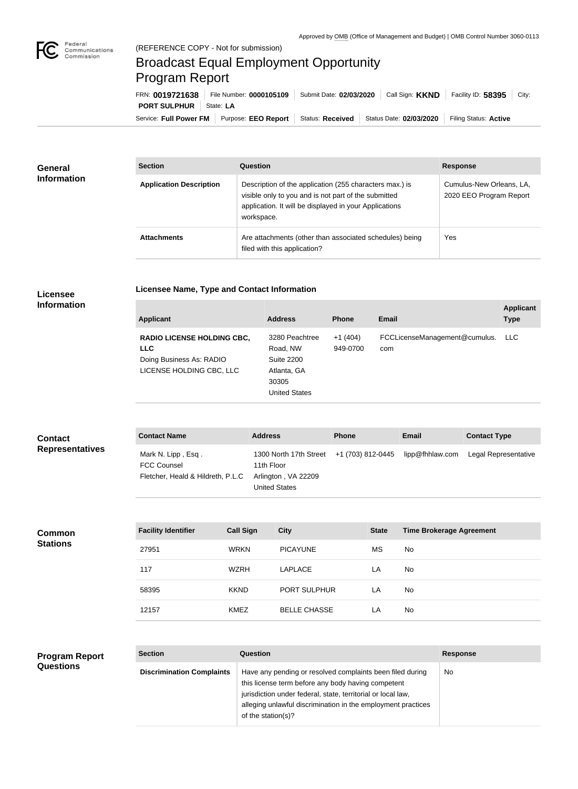

## Broadcast Equal Employment Opportunity Program Report

**Licensee Name, Type and Contact Information**

Service: Full Power FM Purpose: EEO Report | Status: Received | Status Date: 02/03/2020 | Filing Status: Active **PORT SULPHUR** State: LA FRN: **0019721638** File Number: **0000105109** Submit Date: **02/03/2020** Call Sign: **KKND** Facility ID: **58395** City:

| General<br><b>Information</b> | <b>Section</b>                 | Question                                                                                                                                                                                | <b>Response</b>                                     |  |
|-------------------------------|--------------------------------|-----------------------------------------------------------------------------------------------------------------------------------------------------------------------------------------|-----------------------------------------------------|--|
|                               | <b>Application Description</b> | Description of the application (255 characters max.) is<br>visible only to you and is not part of the submitted<br>application. It will be displayed in your Applications<br>workspace. | Cumulus-New Orleans, LA,<br>2020 EEO Program Report |  |
|                               | <b>Attachments</b>             | Are attachments (other than associated schedules) being<br>filed with this application?                                                                                                 | Yes                                                 |  |

## **Licensee Information**

| <b>Applicant</b>                                                                                        | <b>Address</b>                                                                                  | <b>Phone</b>          | Email                                | <b>Applicant</b><br><b>Type</b> |
|---------------------------------------------------------------------------------------------------------|-------------------------------------------------------------------------------------------------|-----------------------|--------------------------------------|---------------------------------|
| <b>RADIO LICENSE HOLDING CBC,</b><br><b>LLC</b><br>Doing Business As: RADIO<br>LICENSE HOLDING CBC, LLC | 3280 Peachtree<br>Road, NW<br><b>Suite 2200</b><br>Atlanta, GA<br>30305<br><b>United States</b> | $+1(404)$<br>949-0700 | FCCLicenseManagement@cumulus.<br>com | LLC.                            |

| <b>Contact</b><br><b>Representatives</b> | <b>Contact Name</b>                      |                                   | <b>Address</b>  | <b>Phone</b>                                                       | <b>Email</b>                    | <b>Contact Type</b>  |
|------------------------------------------|------------------------------------------|-----------------------------------|-----------------|--------------------------------------------------------------------|---------------------------------|----------------------|
|                                          | Mark N. Lipp, Esq.<br><b>FCC Counsel</b> | Fletcher, Heald & Hildreth, P.L.C |                 | +1 (703) 812-0445<br>1300 North 17th Street<br>Arlington, VA 22209 | lipp@fhhlaw.com                 | Legal Representative |
| <b>Common</b>                            | <b>Facility Identifier</b>               | <b>Call Sign</b>                  | <b>City</b>     | <b>State</b>                                                       | <b>Time Brokerage Agreement</b> |                      |
| <b>Stations</b>                          | 27951                                    | <b>WRKN</b>                       | <b>PICAYUNE</b> | МS                                                                 | No                              |                      |
|                                          | 117                                      | <b>WZRH</b>                       | <b>LAPLACE</b>  | LA                                                                 | No                              |                      |
|                                          | 58395                                    | <b>KKND</b>                       | PORT SULPHUR    | LA                                                                 | No                              |                      |

12157 KMEZ BELLE CHASSE LA No

| <b>Program Report</b> |
|-----------------------|
| <b>Questions</b>      |

| <b>Section</b>                   | Question                                                                                                                                                                                                                                                              | <b>Response</b> |
|----------------------------------|-----------------------------------------------------------------------------------------------------------------------------------------------------------------------------------------------------------------------------------------------------------------------|-----------------|
| <b>Discrimination Complaints</b> | Have any pending or resolved complaints been filed during<br>this license term before any body having competent<br>jurisdiction under federal, state, territorial or local law,<br>alleging unlawful discrimination in the employment practices<br>of the station(s)? | No.             |